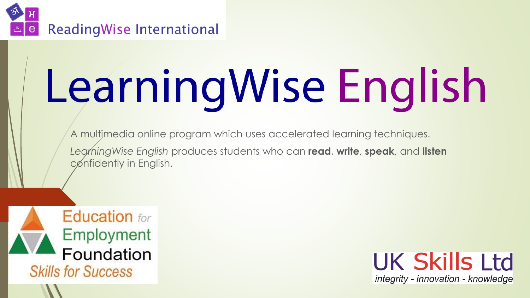

# LearningWise English

A multimedia online program which uses accelerated learning techniques. *LearningWise English* produces students who can **read**, **write**, **speak**, and **listen** confidently in English.



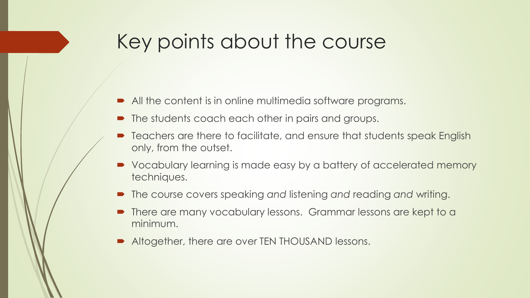#### Key points about the course

- All the content is in online multimedia software programs.
- The students coach each other in pairs and groups.
- Teachers are there to facilitate, and ensure that students speak English only, from the outset.
- Vocabulary learning is made easy by a battery of accelerated memory techniques.
- The course covers speaking *and* listening *and* reading *and* writing.
- There are many vocabulary lessons. Grammar lessons are kept to a minimum.
- Altogether, there are over TEN THOUSAND lessons.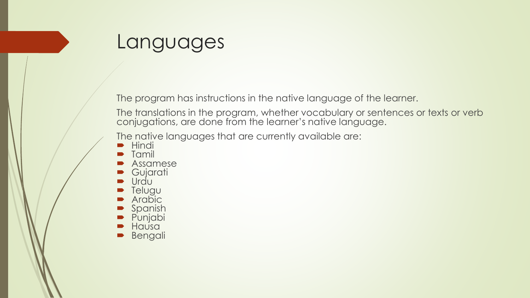#### Languages

The program has instructions in the native language of the learner.

The translations in the program, whether vocabulary or sentences or texts or verb conjugations, are done from the learner's native language.

The native languages that are currently available are:

- Hindi
- **Tamil**
- Assamese
- **Gujarati**
- Urdu
- Telugu
- Arabic
- Spanish
- Punjabi
- **Hausa**
- Bengali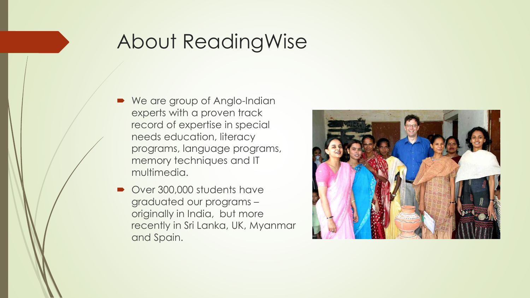# About ReadingWise

- We are group of Anglo-Indian experts with a proven track record of expertise in special needs education, literacy programs, language programs, memory techniques and IT multimedia.
- Over 300,000 students have graduated our programs – originally in India, but more recently in Sri Lanka, UK, Myanmar and Spain.

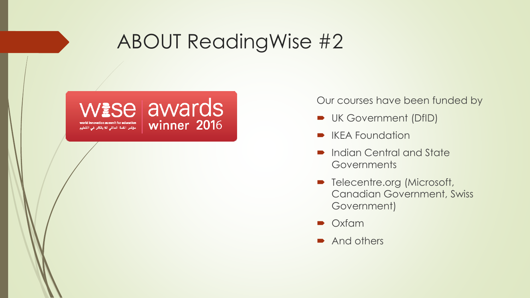#### ABOUT ReadingWise #2



Our courses have been funded by

- **UK Government (DfID)**
- IKEA Foundation
- Indian Central and State **Governments**
- Telecentre.org (Microsoft, Canadian Government, Swiss Government)
- **Oxfam**
- And others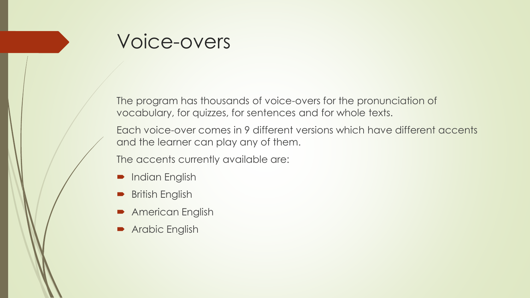

The program has thousands of voice-overs for the pronunciation of vocabulary, for quizzes, for sentences and for whole texts.

Each voice-over comes in 9 different versions which have different accents and the learner can play any of them.

The accents currently available are:

- Indian English
- British English
- **American English**
- **Arabic English**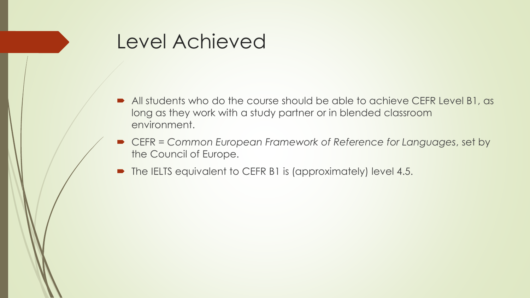#### Level Achieved

- All students who do the course should be able to achieve CEFR Level B1, as long as they work with a study partner or in blended classroom environment.
- CEFR = *Common European Framework of Reference for Languages*, set by the Council of Europe.
- The IELTS equivalent to CEFR B1 is (approximately) level 4.5.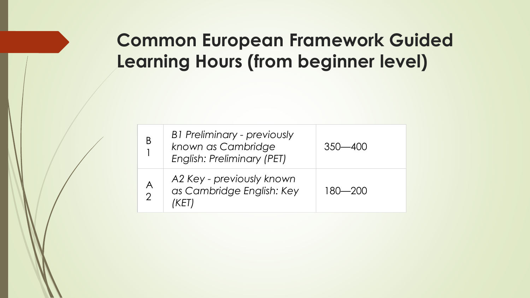#### **Common European Framework Guided Learning Hours (from beginner level)**

| Β                             | <b>B1 Preliminary - previously</b><br>known as Cambridge<br>English: Preliminary (PET) | $350 - 400$ |
|-------------------------------|----------------------------------------------------------------------------------------|-------------|
| $\bigwedge$<br>$\overline{2}$ | A2 Key - previously known<br>as Cambridge English: Key<br>'KF1.                        | $180 - 200$ |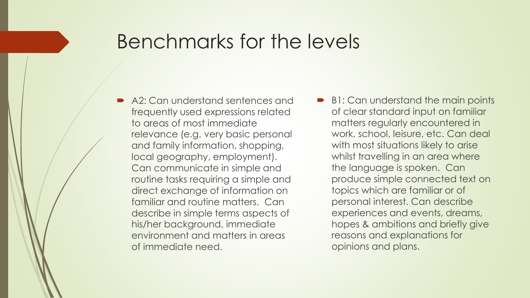#### Benchmarks for the levels

- A2: Can understand sentences and frequently used expressions related to areas of most immediate relevance (e.g. very basic personal and family information, shopping, local geography, employment). Can communicate in simple and routine tasks requiring a simple and direct exchange of information on familiar and routine matters. Can describe in simple terms aspects of his/her background, immediate environment and matters in areas of immediate need.
- B1: Can understand the main points of clear standard input on familiar matters regularly encountered in work, school, leisure, etc. Can deal with most situations likely to arise whilst travelling in an area where the language is spoken. Can produce simple connected text on topics which are familiar or of personal interest. Can describe experiences and events, dreams, hopes & ambitions and briefly give reasons and explanations for opinions and plans.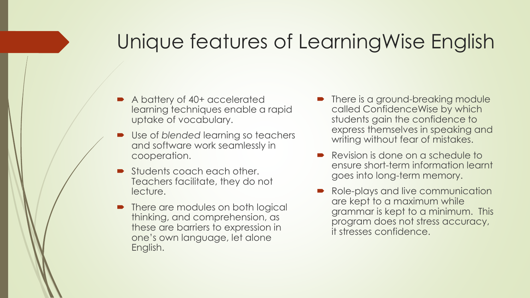# Unique features of LearningWise English

- A battery of 40+ accelerated learning techniques enable a rapid uptake of vocabulary.
- Use of *blended* learning so teachers and software work seamlessly in cooperation.
- Students coach each other. Teachers facilitate, they do not lecture.
- There are modules on both logical thinking, and comprehension, as these are barriers to expression in one's own language, let alone English.
- There is a ground-breaking module called ConfidenceWise by which students gain the confidence to express themselves in speaking and writing without fear of mistakes.
- Revision is done on a schedule to ensure short-term information learnt goes into long-term memory.
- Role-plays and live communication are kept to a maximum while grammar is kept to a minimum. This program does not stress accuracy, it stresses confidence.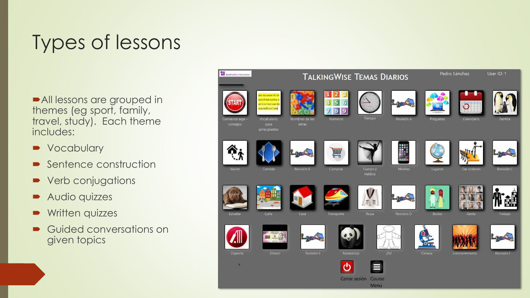# Types of lessons

- All lessons are grouped in themes (eg sport, family, travel, study). Each theme includes:
- Vocabulary
- Sentence construction
- Verb conjugations
- Audio quizzes
- Written quizzes
- Guided conversations on given topics

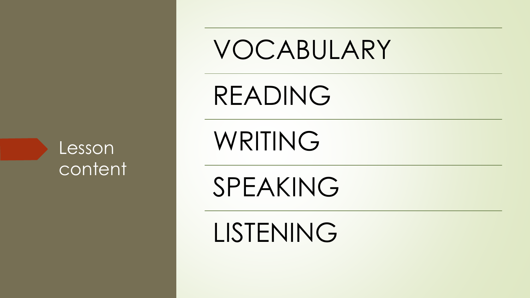

VOCABULARY

READING

WRITING

SPEAKING

LISTENING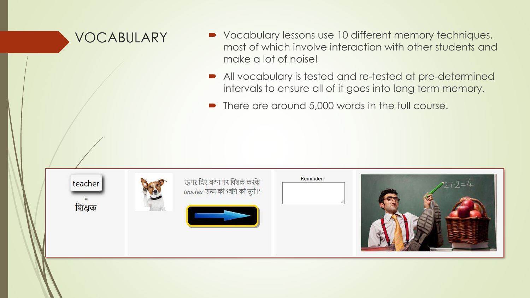- VOCABULARY •• Vocabulary lessons use 10 different memory techniques, most of which involve interaction with other students and make a lot of noise!
	- All vocabulary is tested and re-tested at pre-determined intervals to ensure all of it goes into long term memory.
	- There are around 5,000 words in the full course.

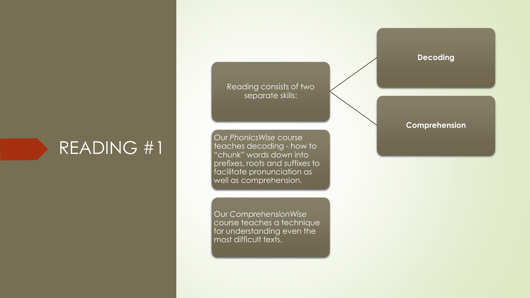#### READING #1

Reading consists of two separate skills:

Our *PhonicsWise* course teaches decoding - how to "chunk" words down into prefixes, roots and suffixes to facilitate pronunciation as well as comprehension.

Our *ComprehensionWise* course teaches a technique for understanding even the most difficult texts.

**Decoding**

**Comprehension**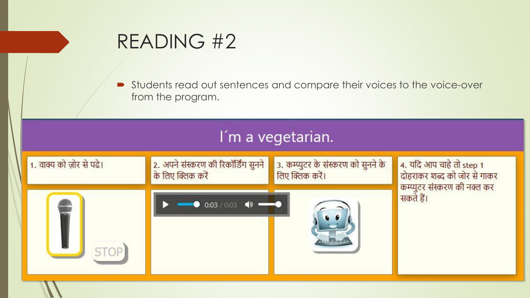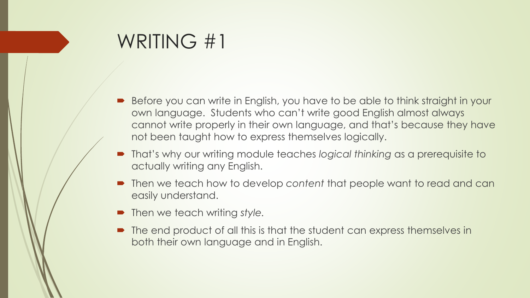#### WRITING #1

- Before you can write in English, you have to be able to think straight in your own language. Students who can't write good English almost always cannot write properly in their own language, and that's because they have not been taught how to express themselves logically.
- That's why our writing module teaches *logical thinking* as a prerequisite to actually writing any English.
- Then we teach how to develop *content* that people want to read and can easily understand.
- Then we teach writing *style*.
- The end product of all this is that the student can express themselves in both their own language and in English.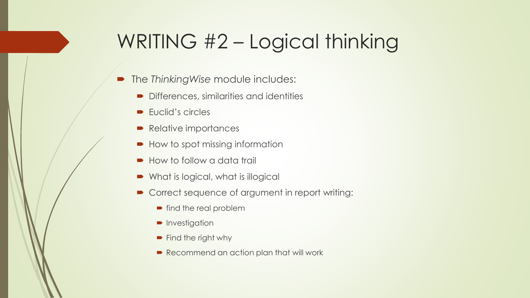# WRITING #2 – Logical thinking

- **The Thinking Wise module includes:** 
	- Differences, similarities and identities
	- Euclid's circles
	- Relative importances
	- How to spot missing information
	- How to follow a data trail
	- What is logical, what is illogical
	- Correct sequence of argument in report writing:
		- find the real problem
		- **P** Investigation
		- $\blacktriangleright$  Find the right why
		- Recommend an action plan that will work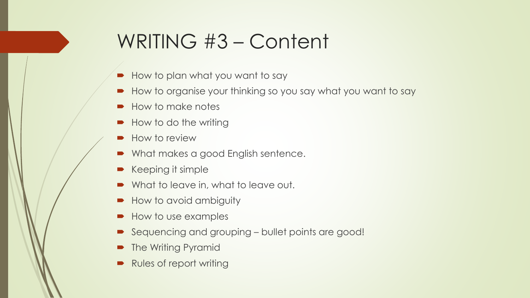# WRITING #3 – Content

- How to plan what you want to say
- How to organise your thinking so you say what you want to say
- How to make notes
- How to do the writing
- How to review
- What makes a good English sentence.
- Keeping it simple
- What to leave in, what to leave out.
- How to avoid ambiguity
- How to use examples
- Sequencing and grouping bullet points are good!
- The Writing Pyramid
- Rules of report writing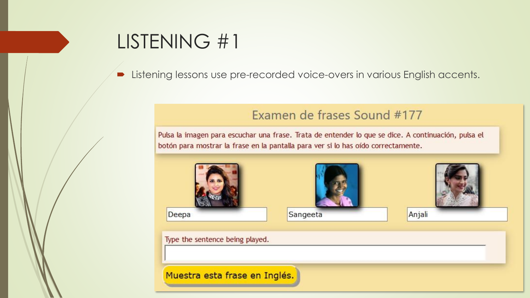## LISTENING #1

**EXTERNITHS Listening lessons use pre-recorded voice-overs in various English accents.** 

#### Examen de frases Sound #177

Pulsa la imagen para escuchar una frase. Trata de entender lo que se dice. A continuación, pulsa el botón para mostrar la frase en la pantalla para ver si lo has oído correctamente.







Type the sentence being played.

Muestra esta frase en Inglés.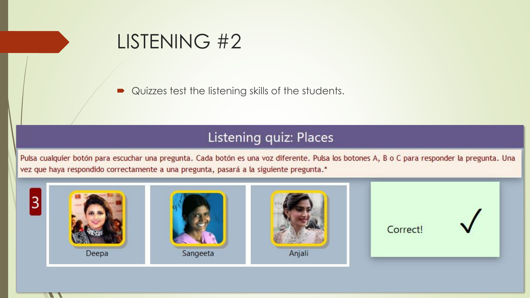

■ Quizzes test the listening skills of the students.

#### Listening quiz: Places

Pulsa cualquier botón para escuchar una pregunta. Cada botón es una voz diferente. Pulsa los botones A, B o C para responder la pregunta. Una vez que haya respondido correctamente a una pregunta, pasará a la siguiente pregunta.\*

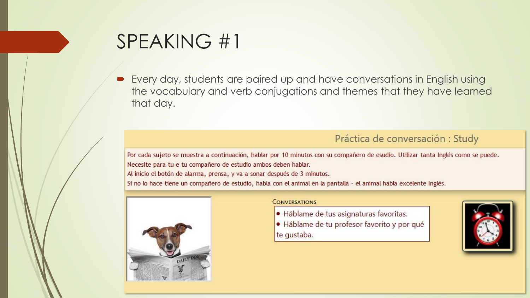

 Every day, students are paired up and have conversations in English using the vocabulary and verb conjugations and themes that they have learned that day.

#### Práctica de conversación : Study

Por cada sujeto se muestra a continuación, hablar por 10 minutos con su compañero de esudio. Utilizar tanta Inglés como se puede. Necesite para tu e tu compañero de estudio ambos deben hablar.

Al inicio el botón de alarma, prensa, y va a sonar después de 3 minutos.

Si no lo hace tiene un compañero de estudio, habla con el animal en la pantalla - el animal habla excelente Inglés.



#### **CONVERSATIONS**

- · Háblame de tus asignaturas favoritas.
- · Háblame de tu profesor favorito y por qué te gustaba.

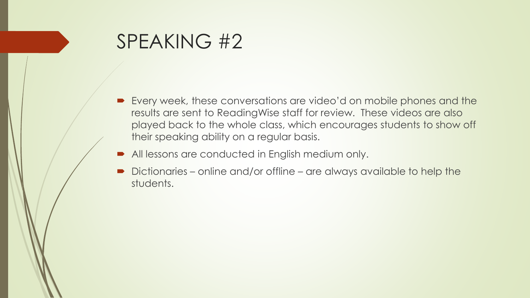#### SPEAKING #2

- Every week, these conversations are video'd on mobile phones and the results are sent to ReadingWise staff for review. These videos are also played back to the whole class, which encourages students to show off their speaking ability on a regular basis.
- All lessons are conducted in English medium only.
- Dictionaries online and/or offline are always available to help the students.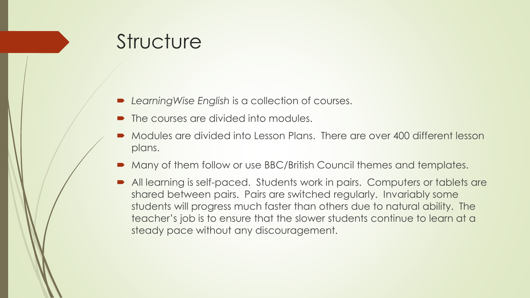#### **Structure**

- LearningWise English is a collection of courses.
- The courses are divided into modules.
- Modules are divided into Lesson Plans. There are over 400 different lesson plans.
- Many of them follow or use BBC/British Council themes and templates.
- All learning is self-paced. Students work in pairs. Computers or tablets are shared between pairs. Pairs are switched regularly. Invariably some students will progress much faster than others due to natural ability. The teacher's job is to ensure that the slower students continue to learn at a steady pace without any discouragement.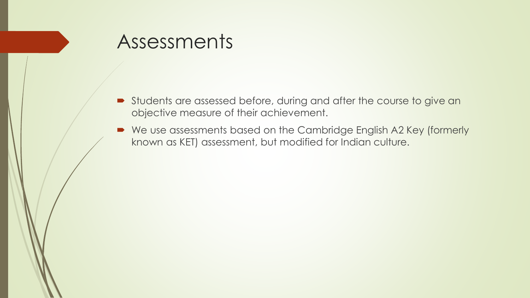#### Assessments

- Students are assessed before, during and after the course to give an objective measure of their achievement.
- We use assessments based on the Cambridge English A2 Key (formerly known as KET) assessment, but modified for Indian culture.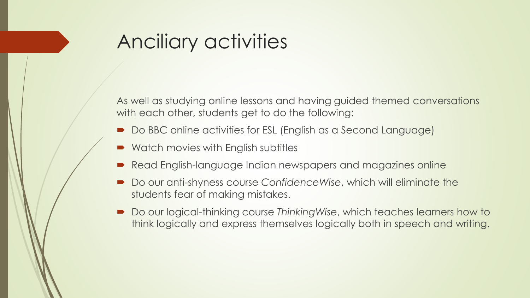# Anciliary activities

As well as studying online lessons and having guided themed conversations with each other, students get to do the following:

- Do BBC online activities for ESL (English as a Second Language)
- Watch movies with English subtitles
- Read English-language Indian newspapers and magazines online
- Do our anti-shyness course *ConfidenceWise*, which will eliminate the students fear of making mistakes.
- Do our logical-thinking course *ThinkingWise*, which teaches learners how to think logically and express themselves logically both in speech and writing.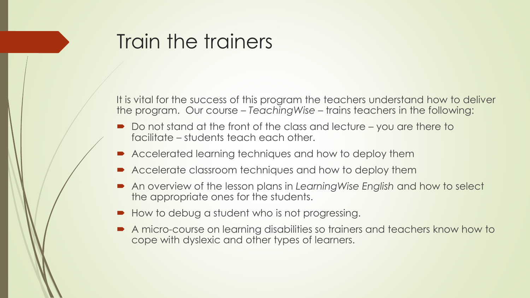#### Train the trainers

It is vital for the success of this program the teachers understand how to deliver the program. Our course – *TeachingWise* – trains teachers in the following:

- Do not stand at the front of the class and lecture you are there to facilitate – students teach each other.
- Accelerated learning techniques and how to deploy them
- Accelerate classroom techniques and how to deploy them
- An overview of the lesson plans in *LearningWise English* and how to select the appropriate ones for the students.
- How to debug a student who is not progressing.
- A micro-course on learning disabilities so trainers and teachers know how to cope with dyslexic and other types of learners.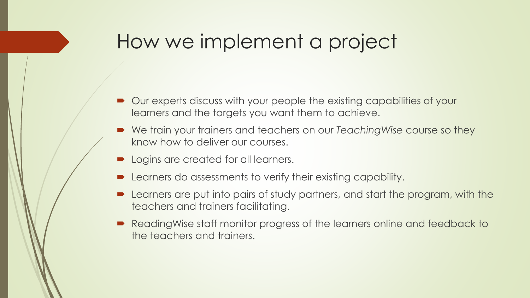#### How we implement a project

- Our experts discuss with your people the existing capabilities of your learners and the targets you want them to achieve.
- We train your trainers and teachers on our *TeachingWise* course so they know how to deliver our courses.
- **Delays 1.5 Logins are created for all learners.**
- Learners do assessments to verify their existing capability.
- Learners are put into pairs of study partners, and start the program, with the teachers and trainers facilitating.
- ReadingWise staff monitor progress of the learners online and feedback to the teachers and trainers.